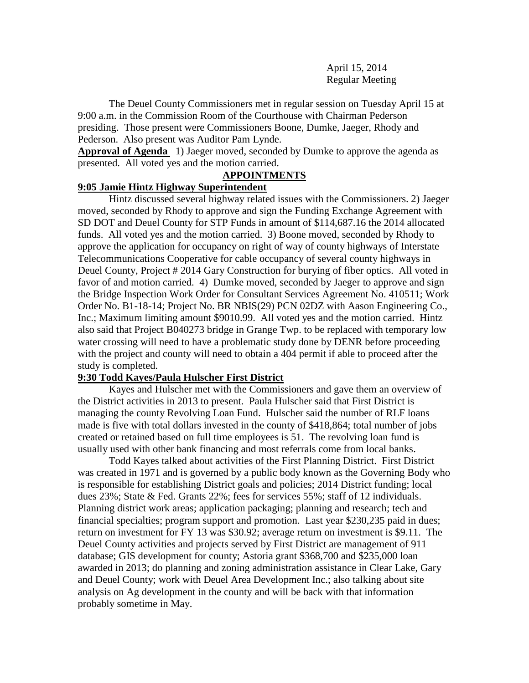April 15, 2014 Regular Meeting

The Deuel County Commissioners met in regular session on Tuesday April 15 at 9:00 a.m. in the Commission Room of the Courthouse with Chairman Pederson presiding. Those present were Commissioners Boone, Dumke, Jaeger, Rhody and Pederson. Also present was Auditor Pam Lynde.

**Approval of Agenda** 1) Jaeger moved, seconded by Dumke to approve the agenda as presented. All voted yes and the motion carried.

## **APPOINTMENTS**

### **9:05 Jamie Hintz Highway Superintendent**

Hintz discussed several highway related issues with the Commissioners. 2) Jaeger moved, seconded by Rhody to approve and sign the Funding Exchange Agreement with SD DOT and Deuel County for STP Funds in amount of \$114,687.16 the 2014 allocated funds. All voted yes and the motion carried. 3) Boone moved, seconded by Rhody to approve the application for occupancy on right of way of county highways of Interstate Telecommunications Cooperative for cable occupancy of several county highways in Deuel County, Project # 2014 Gary Construction for burying of fiber optics. All voted in favor of and motion carried. 4) Dumke moved, seconded by Jaeger to approve and sign the Bridge Inspection Work Order for Consultant Services Agreement No. 410511; Work Order No. B1-18-14; Project No. BR NBIS(29) PCN 02DZ with Aason Engineering Co., Inc.; Maximum limiting amount \$9010.99. All voted yes and the motion carried. Hintz also said that Project B040273 bridge in Grange Twp. to be replaced with temporary low water crossing will need to have a problematic study done by DENR before proceeding with the project and county will need to obtain a 404 permit if able to proceed after the study is completed.

### **9:30 Todd Kayes/Paula Hulscher First District**

Kayes and Hulscher met with the Commissioners and gave them an overview of the District activities in 2013 to present. Paula Hulscher said that First District is managing the county Revolving Loan Fund. Hulscher said the number of RLF loans made is five with total dollars invested in the county of \$418,864; total number of jobs created or retained based on full time employees is 51. The revolving loan fund is usually used with other bank financing and most referrals come from local banks.

Todd Kayes talked about activities of the First Planning District. First District was created in 1971 and is governed by a public body known as the Governing Body who is responsible for establishing District goals and policies; 2014 District funding; local dues 23%; State & Fed. Grants 22%; fees for services 55%; staff of 12 individuals. Planning district work areas; application packaging; planning and research; tech and financial specialties; program support and promotion. Last year \$230,235 paid in dues; return on investment for FY 13 was \$30.92; average return on investment is \$9.11. The Deuel County activities and projects served by First District are management of 911 database; GIS development for county; Astoria grant \$368,700 and \$235,000 loan awarded in 2013; do planning and zoning administration assistance in Clear Lake, Gary and Deuel County; work with Deuel Area Development Inc.; also talking about site analysis on Ag development in the county and will be back with that information probably sometime in May.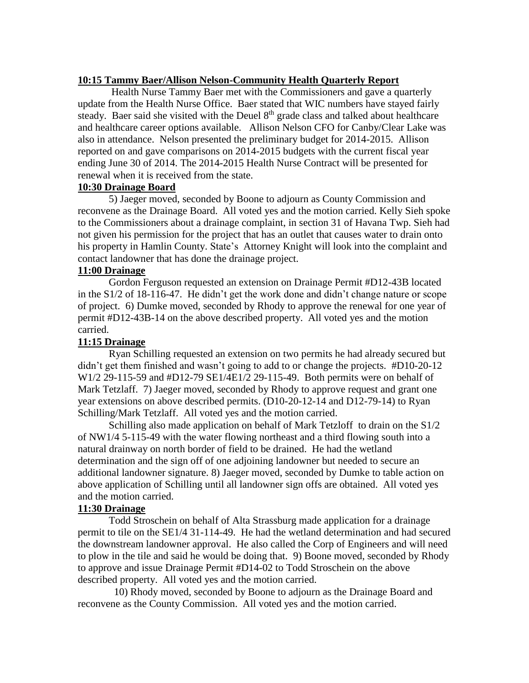## **10:15 Tammy Baer/Allison Nelson-Community Health Quarterly Report**

Health Nurse Tammy Baer met with the Commissioners and gave a quarterly update from the Health Nurse Office. Baer stated that WIC numbers have stayed fairly steady. Baer said she visited with the Deuel 8<sup>th</sup> grade class and talked about healthcare and healthcare career options available. Allison Nelson CFO for Canby/Clear Lake was also in attendance. Nelson presented the preliminary budget for 2014-2015. Allison reported on and gave comparisons on 2014-2015 budgets with the current fiscal year ending June 30 of 2014. The 2014-2015 Health Nurse Contract will be presented for renewal when it is received from the state.

## **10:30 Drainage Board**

5) Jaeger moved, seconded by Boone to adjourn as County Commission and reconvene as the Drainage Board. All voted yes and the motion carried. Kelly Sieh spoke to the Commissioners about a drainage complaint, in section 31 of Havana Twp. Sieh had not given his permission for the project that has an outlet that causes water to drain onto his property in Hamlin County. State's Attorney Knight will look into the complaint and contact landowner that has done the drainage project.

## **11:00 Drainage**

Gordon Ferguson requested an extension on Drainage Permit #D12-43B located in the S1/2 of 18-116-47. He didn't get the work done and didn't change nature or scope of project. 6) Dumke moved, seconded by Rhody to approve the renewal for one year of permit #D12-43B-14 on the above described property. All voted yes and the motion carried.

## **11:15 Drainage**

Ryan Schilling requested an extension on two permits he had already secured but didn't get them finished and wasn't going to add to or change the projects. #D10-20-12 W1/2 29-115-59 and #D12-79 SE1/4E1/2 29-115-49. Both permits were on behalf of Mark Tetzlaff. 7) Jaeger moved, seconded by Rhody to approve request and grant one year extensions on above described permits. (D10-20-12-14 and D12-79-14) to Ryan Schilling/Mark Tetzlaff. All voted yes and the motion carried.

Schilling also made application on behalf of Mark Tetzloff to drain on the S1/2 of NW1/4 5-115-49 with the water flowing northeast and a third flowing south into a natural drainway on north border of field to be drained. He had the wetland determination and the sign off of one adjoining landowner but needed to secure an additional landowner signature. 8) Jaeger moved, seconded by Dumke to table action on above application of Schilling until all landowner sign offs are obtained. All voted yes and the motion carried.

## **11:30 Drainage**

Todd Stroschein on behalf of Alta Strassburg made application for a drainage permit to tile on the SE1/4 31-114-49. He had the wetland determination and had secured the downstream landowner approval. He also called the Corp of Engineers and will need to plow in the tile and said he would be doing that. 9) Boone moved, seconded by Rhody to approve and issue Drainage Permit #D14-02 to Todd Stroschein on the above described property. All voted yes and the motion carried.

10) Rhody moved, seconded by Boone to adjourn as the Drainage Board and reconvene as the County Commission. All voted yes and the motion carried.